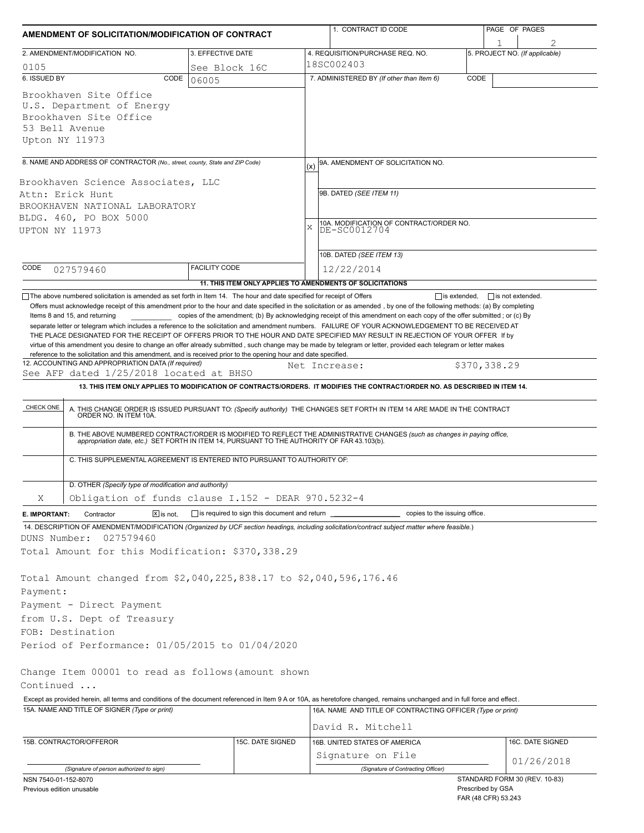| 2. AMENDMENT/MODIFICATION NO.<br>0105<br>6. ISSUED BY<br>CODE<br>Brookhaven Site Office<br>U.S. Department of Energy                                                                                                                                                                                                                                                                                                                                                                                                                                                                                          | 3. EFFECTIVE DATE<br>See Block 16C<br>06005  |  | 4. REQUISITION/PURCHASE REQ. NO.<br>18SC002403<br>7. ADMINISTERED BY (If other than Item 6)                                                                                                                                                                                                                                                                                  |              | 5. PROJECT NO. (If applicable) |  |  |
|---------------------------------------------------------------------------------------------------------------------------------------------------------------------------------------------------------------------------------------------------------------------------------------------------------------------------------------------------------------------------------------------------------------------------------------------------------------------------------------------------------------------------------------------------------------------------------------------------------------|----------------------------------------------|--|------------------------------------------------------------------------------------------------------------------------------------------------------------------------------------------------------------------------------------------------------------------------------------------------------------------------------------------------------------------------------|--------------|--------------------------------|--|--|
|                                                                                                                                                                                                                                                                                                                                                                                                                                                                                                                                                                                                               |                                              |  |                                                                                                                                                                                                                                                                                                                                                                              |              |                                |  |  |
|                                                                                                                                                                                                                                                                                                                                                                                                                                                                                                                                                                                                               |                                              |  |                                                                                                                                                                                                                                                                                                                                                                              |              |                                |  |  |
|                                                                                                                                                                                                                                                                                                                                                                                                                                                                                                                                                                                                               |                                              |  |                                                                                                                                                                                                                                                                                                                                                                              | CODE         |                                |  |  |
| Brookhaven Site Office<br>53 Bell Avenue<br>Upton NY 11973                                                                                                                                                                                                                                                                                                                                                                                                                                                                                                                                                    |                                              |  |                                                                                                                                                                                                                                                                                                                                                                              |              |                                |  |  |
|                                                                                                                                                                                                                                                                                                                                                                                                                                                                                                                                                                                                               |                                              |  |                                                                                                                                                                                                                                                                                                                                                                              |              |                                |  |  |
| 8. NAME AND ADDRESS OF CONTRACTOR (No., street, county, State and ZIP Code)<br>Brookhaven Science Associates, LLC<br>Attn: Erick Hunt<br>BROOKHAVEN NATIONAL LABORATORY<br>BLDG. 460, PO BOX 5000<br>UPTON NY 11973                                                                                                                                                                                                                                                                                                                                                                                           |                                              |  | 9A. AMENDMENT OF SOLICITATION NO.<br>(x)<br>9B. DATED (SEE ITEM 11)<br>10A. MODIFICATION OF CONTRACT/ORDER NO.<br>X<br>DE-SC0012704<br>10B. DATED (SEE ITEM 13)                                                                                                                                                                                                              |              |                                |  |  |
| CODE<br>027579460                                                                                                                                                                                                                                                                                                                                                                                                                                                                                                                                                                                             | <b>FACILITY CODE</b>                         |  | 12/22/2014                                                                                                                                                                                                                                                                                                                                                                   |              |                                |  |  |
|                                                                                                                                                                                                                                                                                                                                                                                                                                                                                                                                                                                                               |                                              |  | 11. THIS ITEM ONLY APPLIES TO AMENDMENTS OF SOLICITATIONS                                                                                                                                                                                                                                                                                                                    |              |                                |  |  |
| Items 8 and 15, and returning<br>separate letter or telegram which includes a reference to the solicitation and amendment numbers. FAILURE OF YOUR ACKNOWLEDGEMENT TO BE RECEIVED AT<br>THE PLACE DESIGNATED FOR THE RECEIPT OF OFFERS PRIOR TO THE HOUR AND DATE SPECIFIED MAY RESULT IN REJECTION OF YOUR OFFER If by<br>virtue of this amendment you desire to change an offer already submitted, such change may be made by telegram or letter, provided each telegram or letter makes<br>reference to the solicitation and this amendment, and is received prior to the opening hour and date specified. |                                              |  | copies of the amendment; (b) By acknowledging receipt of this amendment on each copy of the offer submitted; or (c) By                                                                                                                                                                                                                                                       |              |                                |  |  |
| 12. ACCOUNTING AND APPROPRIATION DATA (If required)<br>See AFP dated 1/25/2018 located at BHSO                                                                                                                                                                                                                                                                                                                                                                                                                                                                                                                |                                              |  | Net Increase:                                                                                                                                                                                                                                                                                                                                                                | \$370,338.29 |                                |  |  |
|                                                                                                                                                                                                                                                                                                                                                                                                                                                                                                                                                                                                               |                                              |  | 13. THIS ITEM ONLY APPLIES TO MODIFICATION OF CONTRACTS/ORDERS. IT MODIFIES THE CONTRACT/ORDER NO. AS DESCRIBED IN ITEM 14.                                                                                                                                                                                                                                                  |              |                                |  |  |
| C. THIS SUPPLEMENTAL AGREEMENT IS ENTERED INTO PURSUANT TO AUTHORITY OF:<br>D. OTHER (Specify type of modification and authority)                                                                                                                                                                                                                                                                                                                                                                                                                                                                             |                                              |  | A. THIS CHANGE ORDER IS ISSUED PURSUANT TO: (Specify authority) THE CHANGES SET FORTH IN ITEM 14 ARE MADE IN THE CONTRACT ORDER NO. IN ITEM 10A.<br>B. THE ABOVE NUMBERED CONTRACT/ORDER IS MODIFIED TO REFLECT THE ADMINISTRATIVE CHANGES (such as changes in paying office,<br>appropriation date, etc.) SET FORTH IN ITEM 14, PURSUANT TO THE AUTHORITY OF FAR 43.103(b). |              |                                |  |  |
| Obligation of funds clause I.152 - DEAR 970.5232-4<br>Χ                                                                                                                                                                                                                                                                                                                                                                                                                                                                                                                                                       |                                              |  |                                                                                                                                                                                                                                                                                                                                                                              |              |                                |  |  |
| Contractor<br>$X$ is not.<br>E. IMPORTANT:                                                                                                                                                                                                                                                                                                                                                                                                                                                                                                                                                                    | is required to sign this document and return |  | copies to the issuing office.                                                                                                                                                                                                                                                                                                                                                |              |                                |  |  |
| 14. DESCRIPTION OF AMENDMENT/MODIFICATION (Organized by UCF section headings, including solicitation/contract subject matter where feasible.)<br>DUNS Number:<br>027579460<br>Total Amount for this Modification: \$370,338.29<br>Total Amount changed from \$2,040,225,838.17 to \$2,040,596,176.46<br>Payment:<br>Payment - Direct Payment<br>from U.S. Dept of Treasury<br>FOB: Destination                                                                                                                                                                                                                |                                              |  |                                                                                                                                                                                                                                                                                                                                                                              |              |                                |  |  |
| Period of Performance: 01/05/2015 to 01/04/2020<br>Change Item 00001 to read as follows (amount shown                                                                                                                                                                                                                                                                                                                                                                                                                                                                                                         |                                              |  |                                                                                                                                                                                                                                                                                                                                                                              |              |                                |  |  |
| Continued                                                                                                                                                                                                                                                                                                                                                                                                                                                                                                                                                                                                     |                                              |  |                                                                                                                                                                                                                                                                                                                                                                              |              |                                |  |  |
|                                                                                                                                                                                                                                                                                                                                                                                                                                                                                                                                                                                                               |                                              |  |                                                                                                                                                                                                                                                                                                                                                                              |              |                                |  |  |
| Except as provided herein, all terms and conditions of the document referenced in Item 9 A or 10A, as heretofore changed, remains unchanged and in full force and effect.                                                                                                                                                                                                                                                                                                                                                                                                                                     |                                              |  | 16A. NAME AND TITLE OF CONTRACTING OFFICER (Type or print)                                                                                                                                                                                                                                                                                                                   |              |                                |  |  |
| 15A. NAME AND TITLE OF SIGNER (Type or print)                                                                                                                                                                                                                                                                                                                                                                                                                                                                                                                                                                 |                                              |  | David R. Mitchell                                                                                                                                                                                                                                                                                                                                                            |              |                                |  |  |
|                                                                                                                                                                                                                                                                                                                                                                                                                                                                                                                                                                                                               |                                              |  |                                                                                                                                                                                                                                                                                                                                                                              |              |                                |  |  |
| 15B. CONTRACTOR/OFFEROR                                                                                                                                                                                                                                                                                                                                                                                                                                                                                                                                                                                       | 15C. DATE SIGNED                             |  | 16B. UNITED STATES OF AMERICA<br>Signature on File                                                                                                                                                                                                                                                                                                                           |              | 16C. DATE SIGNED<br>01/26/2018 |  |  |

Prescribed by GSA FAR (48 CFR) 53.243